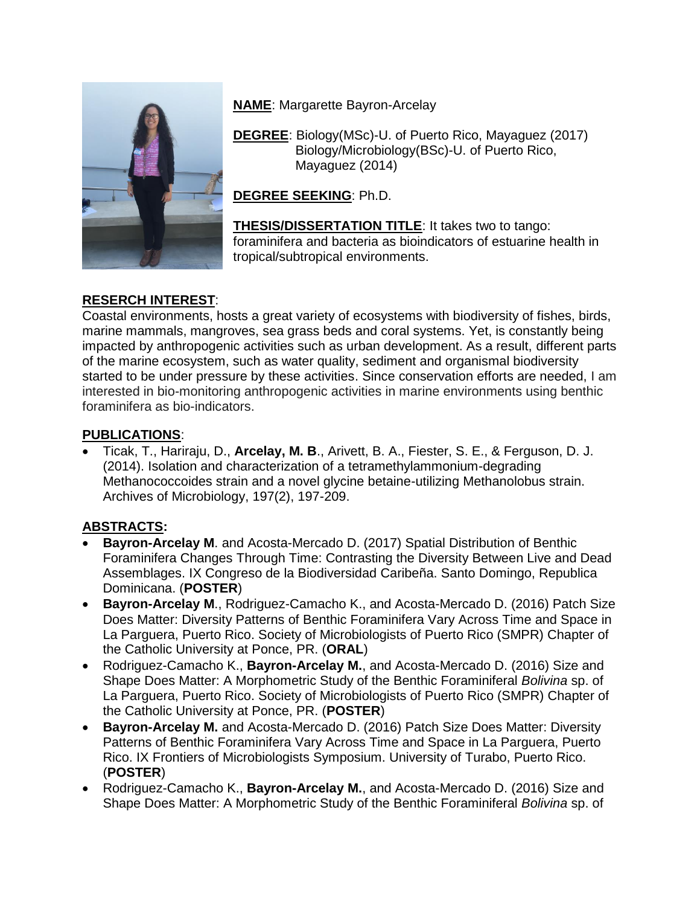

**NAME**: Margarette Bayron-Arcelay

**DEGREE**: Biology(MSc)-U. of Puerto Rico, Mayaguez (2017) Biology/Microbiology(BSc)-U. of Puerto Rico, Mayaguez (2014)

**DEGREE SEEKING**: Ph.D.

**THESIS/DISSERTATION TITLE**: It takes two to tango: foraminifera and bacteria as bioindicators of estuarine health in tropical/subtropical environments.

## **RESERCH INTEREST**:

Coastal environments, hosts a great variety of ecosystems with biodiversity of fishes, birds, marine mammals, mangroves, sea grass beds and coral systems. Yet, is constantly being impacted by anthropogenic activities such as urban development. As a result, different parts of the marine ecosystem, such as water quality, sediment and organismal biodiversity started to be under pressure by these activities. Since conservation efforts are needed, I am interested in bio-monitoring anthropogenic activities in marine environments using benthic foraminifera as bio-indicators.

## **PUBLICATIONS**:

 Ticak, T., Hariraju, D., **Arcelay, M. B**., Arivett, B. A., Fiester, S. E., & Ferguson, D. J. (2014). Isolation and characterization of a tetramethylammonium-degrading Methanococcoides strain and a novel glycine betaine-utilizing Methanolobus strain. Archives of Microbiology, 197(2), 197-209.

## **ABSTRACTS:**

- **Bayron-Arcelay M**. and Acosta-Mercado D. (2017) Spatial Distribution of Benthic Foraminifera Changes Through Time: Contrasting the Diversity Between Live and Dead Assemblages. IX Congreso de la Biodiversidad Caribeña. Santo Domingo, Republica Dominicana. (**POSTER**)
- **Bayron-Arcelay M**., Rodriguez-Camacho K., and Acosta-Mercado D. (2016) Patch Size Does Matter: Diversity Patterns of Benthic Foraminifera Vary Across Time and Space in La Parguera, Puerto Rico. Society of Microbiologists of Puerto Rico (SMPR) Chapter of the Catholic University at Ponce, PR. (**ORAL**)
- Rodriguez-Camacho K., **Bayron-Arcelay M.**, and Acosta-Mercado D. (2016) Size and Shape Does Matter: A Morphometric Study of the Benthic Foraminiferal *Bolivina* sp. of La Parguera, Puerto Rico. Society of Microbiologists of Puerto Rico (SMPR) Chapter of the Catholic University at Ponce, PR. (**POSTER**)
- **Bayron-Arcelay M.** and Acosta-Mercado D. (2016) Patch Size Does Matter: Diversity Patterns of Benthic Foraminifera Vary Across Time and Space in La Parguera, Puerto Rico. IX Frontiers of Microbiologists Symposium. University of Turabo, Puerto Rico. (**POSTER**)
- Rodriguez-Camacho K., **Bayron-Arcelay M.**, and Acosta-Mercado D. (2016) Size and Shape Does Matter: A Morphometric Study of the Benthic Foraminiferal *Bolivina* sp. of